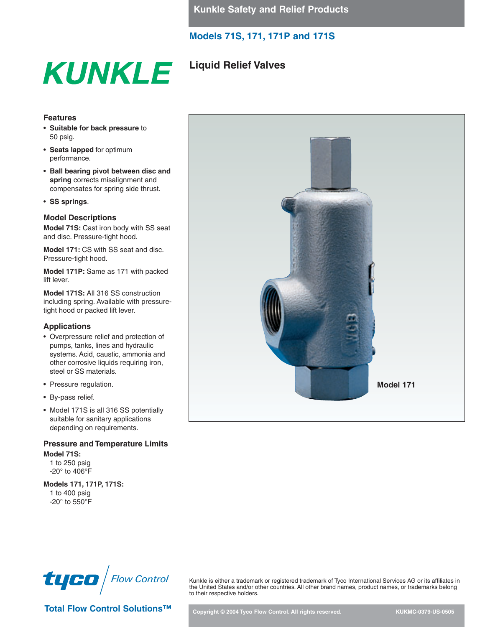## **Liquid Relief Valves**

### **Features**

- **Suitable for back pressure** to 50 psig.
- **Seats lapped** for optimum performance.
- **Ball bearing pivot between disc and spring** corrects misalignment and compensates for spring side thrust.

**KUNKLE** 

• **SS springs**.

### **Model Descriptions**

**Model 71S:** Cast iron body with SS seat and disc. Pressure-tight hood.

**Model 171:** CS with SS seat and disc. Pressure-tight hood.

**Model 171P:** Same as 171 with packed lift lever.

**Model 171S:** All 316 SS construction including spring. Available with pressuretight hood or packed lift lever.

#### **Applications**

- Overpressure relief and protection of pumps, tanks, lines and hydraulic systems. Acid, caustic, ammonia and other corrosive liquids requiring iron, steel or SS materials.
- Pressure regulation.
- By-pass relief.
- Model 171S is all 316 SS potentially suitable for sanitary applications depending on requirements.

### **Pressure and Temperature Limits Model 71S:**

1 to 250 psig -20° to 406°F

**Models 171, 171P, 171S:** 1 to 400 psig -20° to 550°F





Total Flow Control Solutions<sup>™</sup> Copyright © 2004 Tyco Flow Control. All rights reserved. KUKMC-0379-US-0505

Kunkle is either a trademark or registered trademark of Tyco International Services AG or its affiliates in the United States and/or other countries. All other brand names, product names, or trademarks belong to their respective holders.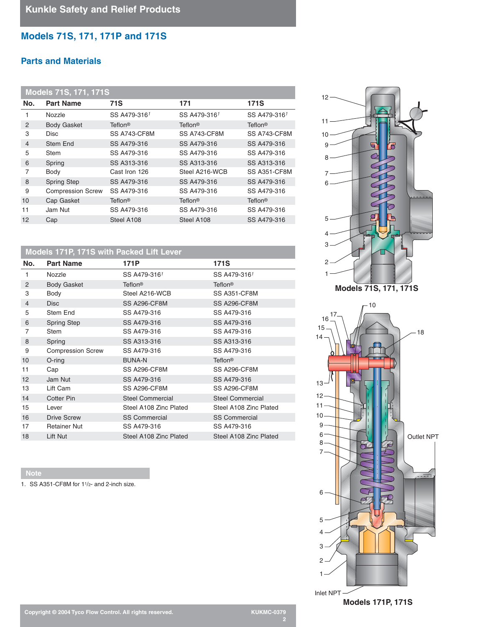## **Parts and Materials**

| <b>Models 71S, 171, 171S</b> |                          |                           |                |                           |  |
|------------------------------|--------------------------|---------------------------|----------------|---------------------------|--|
| No.                          | <b>Part Name</b>         | 71S                       | 171            | <b>171S</b>               |  |
|                              | Nozzle                   | SS A479-3161              | SS A479-3161   | SS A479-3161              |  |
| 2                            | <b>Body Gasket</b>       | <b>Teflon<sup>®</sup></b> | <b>Teflon®</b> | <b>Teflon®</b>            |  |
| 3                            | <b>Disc</b>              | SS A743-CF8M              | SS A743-CF8M   | SS A743-CF8M              |  |
| $\overline{4}$               | Stem End                 | SS A479-316               | SS A479-316    | SS A479-316               |  |
| 5                            | <b>Stem</b>              | SS A479-316               | SS A479-316    | SS A479-316               |  |
| 6                            | Spring                   | SS A313-316               | SS A313-316    | SS A313-316               |  |
| 7                            | Body                     | Cast Iron 126             | Steel A216-WCB | SS A351-CF8M              |  |
| 8                            | <b>Spring Step</b>       | SS A479-316               | SS A479-316    | SS A479-316               |  |
| 9                            | <b>Compression Screw</b> | SS A479-316               | SS A479-316    | SS A479-316               |  |
| 10                           | Cap Gasket               | <b>Teflon<sup>®</sup></b> | <b>Teflon®</b> | <b>Teflon<sup>®</sup></b> |  |
| 11                           | Jam Nut                  | SS A479-316               | SS A479-316    | SS A479-316               |  |
| 12                           | Cap                      | Steel A108                | Steel A108     | SS A479-316               |  |

## **Models 171P, 171S with Packed Lift Lever**

| No.            | <b>Part Name</b>         | 171P                    | <b>171S</b>               |
|----------------|--------------------------|-------------------------|---------------------------|
| 1              | <b>Nozzle</b>            | SS A479-3161            | SS A479-3161              |
| 2              | <b>Body Gasket</b>       | <b>Teflon®</b>          | Teflon <sup>®</sup>       |
| 3              | Body                     | Steel A216-WCB          | SS A351-CF8M              |
| $\overline{4}$ | <b>Disc</b>              | <b>SS A296-CF8M</b>     | <b>SS A296-CF8M</b>       |
| 5              | Stem End                 | SS A479-316             | SS A479-316               |
| 6              | <b>Spring Step</b>       | SS A479-316             | SS A479-316               |
| 7              | Stem                     | SS A479-316             | SS A479-316               |
| 8              | Spring                   | SS A313-316             | SS A313-316               |
| 9              | <b>Compression Screw</b> | SS A479-316             | SS A479-316               |
| 10             | $O$ -ring                | <b>BUNA-N</b>           | <b>Teflon<sup>®</sup></b> |
| 11             | Cap                      | <b>SS A296-CF8M</b>     | <b>SS A296-CF8M</b>       |
| 12             | Jam Nut                  | SS A479-316             | SS A479-316               |
| 13             | Lift Cam                 | <b>SS A296-CF8M</b>     | SS A296-CF8M              |
| 14             | Cotter Pin               | <b>Steel Commercial</b> | <b>Steel Commercial</b>   |
| 15             | Lever                    | Steel A108 Zinc Plated  | Steel A108 Zinc Plated    |
| 16             | <b>Drive Screw</b>       | <b>SS Commercial</b>    | <b>SS Commercial</b>      |
| 17             | <b>Retainer Nut</b>      | SS A479-316             | SS A479-316               |
| 18             | Lift Nut                 | Steel A108 Zinc Plated  | Steel A108 Zinc Plated    |

**Note**

1. SS A351-CF8M for 11/2- and 2-inch size.





Inlet NPT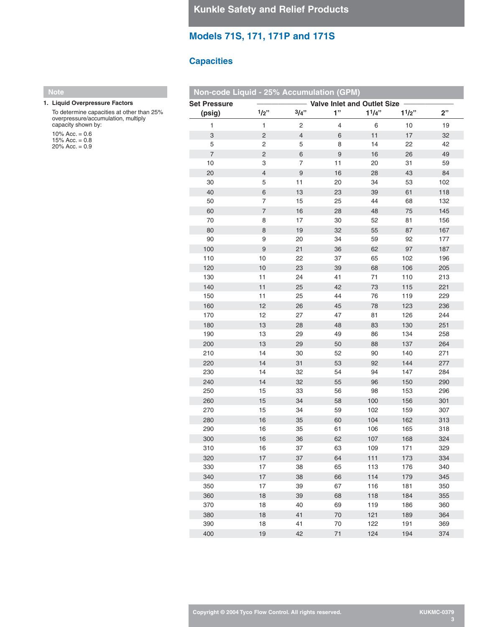### **Capacities**

### **Note**

#### **1. Liquid Overpressure Factors**

To determine capacities at other than 25% overpressure/accumulation, multiply capacity shown by: 10% Acc.  $= 0.6$ 

15% Acc. = 0.8 20% Acc. = 0.9

| Non-code Liquid - 25% Accumulation (GPM) |                          |                |                                    |           |       |     |
|------------------------------------------|--------------------------|----------------|------------------------------------|-----------|-------|-----|
| <b>Set Pressure</b>                      |                          |                | <b>Valve Inlet and Outlet Size</b> |           |       |     |
| (psig)                                   | $1/2$ "                  | 3/4"           | 1"                                 | $1^{1/4"$ | 11/2" | 2"  |
| 1                                        | $\mathbf{1}$             | $\overline{c}$ | 4                                  | 6         | 10    | 19  |
| $\ensuremath{\mathsf{3}}$                | $\overline{2}$           | $\overline{4}$ | 6                                  | 11        | 17    | 32  |
| 5                                        | $\sqrt{2}$               | 5              | 8                                  | 14        | 22    | 42  |
| $\overline{7}$                           | $\overline{2}$           | 6              | 9                                  | 16        | 26    | 49  |
| 10                                       | 3                        | $\overline{7}$ | 11                                 | 20        | 31    | 59  |
| 20                                       | $\overline{4}$           | 9              | 16                                 | 28        | 43    | 84  |
| 30                                       | 5                        | 11             | 20                                 | 34        | 53    | 102 |
| 40                                       | $\,$ 6                   | 13             | 23                                 | 39        | 61    | 118 |
| 50                                       | $\overline{7}$           | 15             | 25                                 | 44        | 68    | 132 |
| 60                                       | $\overline{\phantom{a}}$ | 16             | 28                                 | 48        | 75    | 145 |
| 70                                       | 8                        | 17             | 30                                 | 52        | 81    | 156 |
| 80                                       | 8                        | 19             | 32                                 | 55        | 87    | 167 |
| 90                                       | 9                        | 20             | 34                                 | 59        | 92    | 177 |
| 100                                      | 9                        | 21             | 36                                 | 62        | 97    | 187 |
| 110                                      | 10                       | 22             | 37                                 | 65        | 102   | 196 |
| 120                                      | 10                       | 23             | 39                                 | 68        | 106   | 205 |
| 130                                      | 11                       | 24             | 41                                 | 71        | 110   | 213 |
| 140                                      | 11                       | 25             | 42                                 | 73        | 115   | 221 |
| 150                                      | 11                       | 25             | 44                                 | 76        | 119   | 229 |
| 160                                      | 12                       | 26             | 45                                 | 78        | 123   | 236 |
| 170                                      | 12                       | 27             | 47                                 | 81        | 126   | 244 |
| 180                                      | 13                       | 28             | 48                                 | 83        | 130   | 251 |
| 190                                      | 13                       | 29             | 49                                 | 86        | 134   | 258 |
| 200                                      | 13                       | 29             | 50                                 | 88        | 137   | 264 |
| 210                                      | 14                       | 30             | 52                                 | 90        | 140   | 271 |
| 220                                      | 14                       | 31             | 53                                 | 92        | 144   | 277 |
| 230                                      | 14                       | 32             | 54                                 | 94        | 147   | 284 |
| 240                                      | 14                       | 32             | 55                                 | 96        | 150   | 290 |
| 250                                      | 15                       | 33             | 56                                 | 98        | 153   | 296 |
| 260                                      | 15                       | 34             | 58                                 | 100       | 156   | 301 |
| 270                                      | 15                       | 34             | 59                                 | 102       | 159   | 307 |
| 280                                      | 16                       | 35             | 60                                 | 104       | 162   | 313 |
| 290                                      | 16                       | 35             | 61                                 | 106       | 165   | 318 |
| 300                                      | 16                       | 36             | 62                                 | 107       | 168   | 324 |
| 310                                      | 16                       | 37             | 63                                 | 109       | 171   | 329 |
| 320                                      | 17                       | 37             | 64                                 | $111$     | 173   | 334 |
| 330                                      | 17                       | 38             | 65                                 | 113       | 176   | 340 |
| 340                                      | 17                       | 38             | 66                                 | 114       | 179   | 345 |
| 350                                      | 17                       | 39             | 67                                 | 116       | 181   | 350 |
| 360                                      | 18                       | 39             | 68                                 | 118       | 184   | 355 |
| 370                                      | 18                       | 40             | 69                                 | 119       | 186   | 360 |
| 380                                      | 18                       | 41             | 70                                 | 121       | 189   | 364 |
| 390                                      | 18                       | 41             | 70                                 | 122       | 191   | 369 |
| 400                                      | 19                       | 42             | 71                                 | 124       | 194   | 374 |